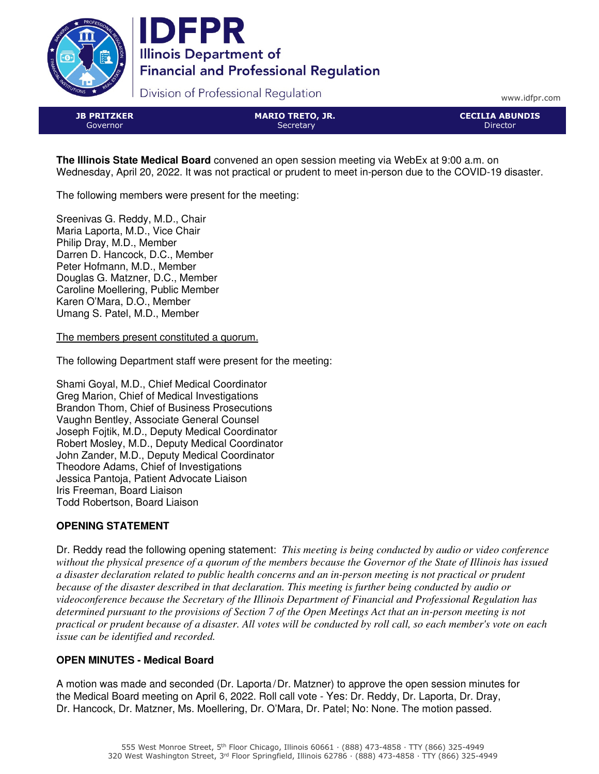



Division of Professional Regulation

www.idfpr.com

JB PRITZKER Governor

MARIO TRETO, JR. **Secretary** 

CECILIA ABUNDIS Director

**The Illinois State Medical Board** convened an open session meeting via WebEx at 9:00 a.m. on Wednesday, April 20, 2022. It was not practical or prudent to meet in-person due to the COVID-19 disaster.

The following members were present for the meeting:

Sreenivas G. Reddy, M.D., Chair Maria Laporta, M.D., Vice Chair Philip Dray, M.D., Member Darren D. Hancock, D.C., Member Peter Hofmann, M.D., Member Douglas G. Matzner, D.C., Member Caroline Moellering, Public Member Karen O'Mara, D.O., Member Umang S. Patel, M.D., Member

The members present constituted a quorum.

The following Department staff were present for the meeting:

Shami Goyal, M.D., Chief Medical Coordinator Greg Marion, Chief of Medical Investigations Brandon Thom, Chief of Business Prosecutions Vaughn Bentley, Associate General Counsel Joseph Fojtik, M.D., Deputy Medical Coordinator Robert Mosley, M.D., Deputy Medical Coordinator John Zander, M.D., Deputy Medical Coordinator Theodore Adams, Chief of Investigations Jessica Pantoja, Patient Advocate Liaison Iris Freeman, Board Liaison Todd Robertson, Board Liaison

# **OPENING STATEMENT**

Dr. Reddy read the following opening statement: *This meeting is being conducted by audio or video conference without the physical presence of a quorum of the members because the Governor of the State of Illinois has issued a disaster declaration related to public health concerns and an in-person meeting is not practical or prudent because of the disaster described in that declaration. This meeting is further being conducted by audio or videoconference because the Secretary of the Illinois Department of Financial and Professional Regulation has determined pursuant to the provisions of Section 7 of the Open Meetings Act that an in-person meeting is not practical or prudent because of a disaster. All votes will be conducted by roll call, so each member's vote on each issue can be identified and recorded.*

# **OPEN MINUTES - Medical Board**

A motion was made and seconded (Dr. Laporta/Dr. Matzner) to approve the open session minutes for the Medical Board meeting on April 6, 2022. Roll call vote - Yes: Dr. Reddy, Dr. Laporta, Dr. Dray, Dr. Hancock, Dr. Matzner, Ms. Moellering, Dr. O'Mara, Dr. Patel; No: None. The motion passed.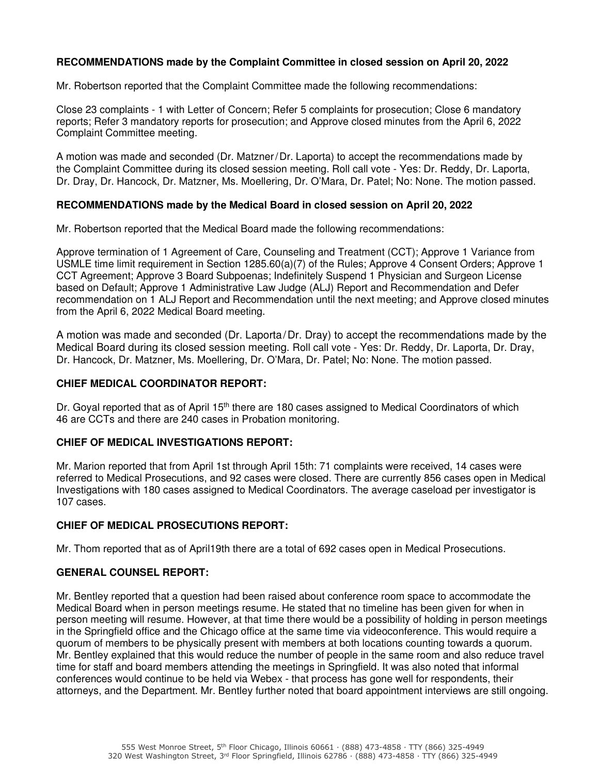## **RECOMMENDATIONS made by the Complaint Committee in closed session on April 20, 2022**

Mr. Robertson reported that the Complaint Committee made the following recommendations:

Close 23 complaints - 1 with Letter of Concern; Refer 5 complaints for prosecution; Close 6 mandatory reports; Refer 3 mandatory reports for prosecution; and Approve closed minutes from the April 6, 2022 Complaint Committee meeting.

A motion was made and seconded (Dr. Matzner/Dr. Laporta) to accept the recommendations made by the Complaint Committee during its closed session meeting. Roll call vote - Yes: Dr. Reddy, Dr. Laporta, Dr. Dray, Dr. Hancock, Dr. Matzner, Ms. Moellering, Dr. O'Mara, Dr. Patel; No: None. The motion passed.

## **RECOMMENDATIONS made by the Medical Board in closed session on April 20, 2022**

Mr. Robertson reported that the Medical Board made the following recommendations:

Approve termination of 1 Agreement of Care, Counseling and Treatment (CCT); Approve 1 Variance from USMLE time limit requirement in Section 1285.60(a)(7) of the Rules; Approve 4 Consent Orders; Approve 1 CCT Agreement; Approve 3 Board Subpoenas; Indefinitely Suspend 1 Physician and Surgeon License based on Default; Approve 1 Administrative Law Judge (ALJ) Report and Recommendation and Defer recommendation on 1 ALJ Report and Recommendation until the next meeting; and Approve closed minutes from the April 6, 2022 Medical Board meeting.

A motion was made and seconded (Dr. Laporta/Dr. Dray) to accept the recommendations made by the Medical Board during its closed session meeting. Roll call vote - Yes: Dr. Reddy, Dr. Laporta, Dr. Dray, Dr. Hancock, Dr. Matzner, Ms. Moellering, Dr. O'Mara, Dr. Patel; No: None. The motion passed.

#### **CHIEF MEDICAL COORDINATOR REPORT:**

Dr. Goyal reported that as of April 15<sup>th</sup> there are 180 cases assigned to Medical Coordinators of which 46 are CCTs and there are 240 cases in Probation monitoring.

## **CHIEF OF MEDICAL INVESTIGATIONS REPORT:**

Mr. Marion reported that from April 1st through April 15th: 71 complaints were received, 14 cases were referred to Medical Prosecutions, and 92 cases were closed. There are currently 856 cases open in Medical Investigations with 180 cases assigned to Medical Coordinators. The average caseload per investigator is 107 cases.

#### **CHIEF OF MEDICAL PROSECUTIONS REPORT:**

Mr. Thom reported that as of April19th there are a total of 692 cases open in Medical Prosecutions.

## **GENERAL COUNSEL REPORT:**

Mr. Bentley reported that a question had been raised about conference room space to accommodate the Medical Board when in person meetings resume. He stated that no timeline has been given for when in person meeting will resume. However, at that time there would be a possibility of holding in person meetings in the Springfield office and the Chicago office at the same time via videoconference. This would require a quorum of members to be physically present with members at both locations counting towards a quorum. Mr. Bentley explained that this would reduce the number of people in the same room and also reduce travel time for staff and board members attending the meetings in Springfield. It was also noted that informal conferences would continue to be held via Webex - that process has gone well for respondents, their attorneys, and the Department. Mr. Bentley further noted that board appointment interviews are still ongoing.